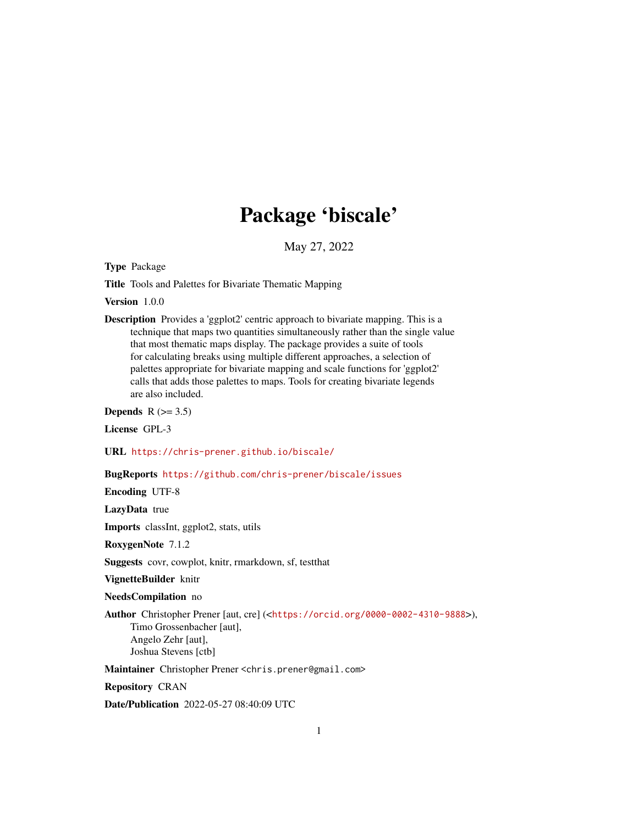# Package 'biscale'

May 27, 2022

<span id="page-0-0"></span>Type Package

Title Tools and Palettes for Bivariate Thematic Mapping

Version 1.0.0

Description Provides a 'ggplot2' centric approach to bivariate mapping. This is a technique that maps two quantities simultaneously rather than the single value that most thematic maps display. The package provides a suite of tools for calculating breaks using multiple different approaches, a selection of palettes appropriate for bivariate mapping and scale functions for 'ggplot2' calls that adds those palettes to maps. Tools for creating bivariate legends are also included.

Depends  $R$  ( $>= 3.5$ )

License GPL-3

URL <https://chris-prener.github.io/biscale/>

#### BugReports <https://github.com/chris-prener/biscale/issues>

Encoding UTF-8

LazyData true

Imports classInt, ggplot2, stats, utils

RoxygenNote 7.1.2

Suggests covr, cowplot, knitr, rmarkdown, sf, testthat

VignetteBuilder knitr

NeedsCompilation no

Author Christopher Prener [aut, cre] (<<https://orcid.org/0000-0002-4310-9888>>), Timo Grossenbacher [aut], Angelo Zehr [aut], Joshua Stevens [ctb]

Maintainer Christopher Prener <chris.prener@gmail.com>

Repository CRAN

Date/Publication 2022-05-27 08:40:09 UTC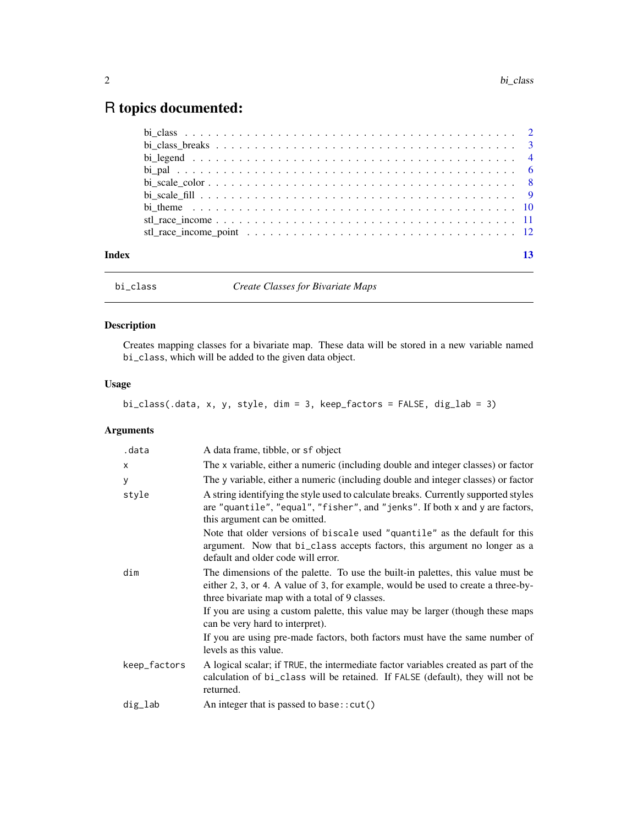## <span id="page-1-0"></span>R topics documented:

| Index | 13 |
|-------|----|

bi\_class *Create Classes for Bivariate Maps*

### Description

Creates mapping classes for a bivariate map. These data will be stored in a new variable named bi\_class, which will be added to the given data object.

### Usage

### bi\_class(.data, x, y, style, dim = 3, keep\_factors = FALSE, dig\_lab = 3)

### Arguments

| .data        | A data frame, tibble, or sf object                                                                                                                                                                                     |
|--------------|------------------------------------------------------------------------------------------------------------------------------------------------------------------------------------------------------------------------|
| X            | The x variable, either a numeric (including double and integer classes) or factor                                                                                                                                      |
| У            | The y variable, either a numeric (including double and integer classes) or factor                                                                                                                                      |
| style        | A string identifying the style used to calculate breaks. Currently supported styles<br>are "quantile", "equal", "fisher", and "jenks". If both x and y are factors,<br>this argument can be omitted.                   |
|              | Note that older versions of biscale used "quantile" as the default for this<br>argument. Now that bi_class accepts factors, this argument no longer as a<br>default and older code will error.                         |
| dim          | The dimensions of the palette. To use the built-in palettes, this value must be<br>either 2, 3, or 4. A value of 3, for example, would be used to create a three-by-<br>three bivariate map with a total of 9 classes. |
|              | If you are using a custom palette, this value may be larger (though these maps<br>can be very hard to interpret).                                                                                                      |
|              | If you are using pre-made factors, both factors must have the same number of<br>levels as this value.                                                                                                                  |
| keep_factors | A logical scalar; if TRUE, the intermediate factor variables created as part of the<br>calculation of bi_class will be retained. If FALSE (default), they will not be<br>returned.                                     |
| dig_lab      | An integer that is passed to base: : cut()                                                                                                                                                                             |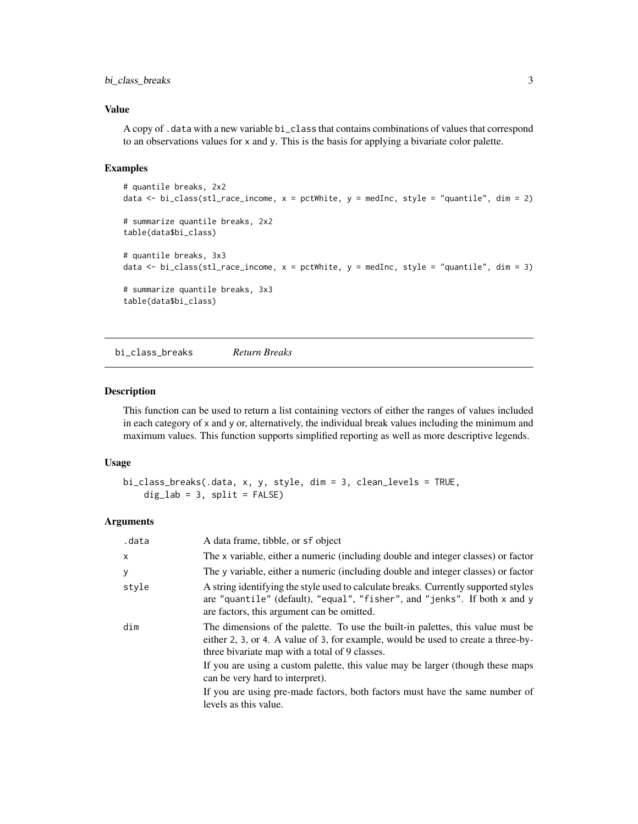#### <span id="page-2-0"></span>bi\_class\_breaks 3

#### Value

A copy of .data with a new variable bi\_class that contains combinations of values that correspond to an observations values for x and y. This is the basis for applying a bivariate color palette.

#### Examples

```
# quantile breaks, 2x2
data \le bi_class(stl_race_income, x = pctWhite, y = medInc, style = "quantile", dim = 2)
# summarize quantile breaks, 2x2
table(data$bi_class)
# quantile breaks, 3x3
data \le bi_class(stl_race_income, x = pctWhite, y = medInc, style = "quantile", dim = 3)
# summarize quantile breaks, 3x3
table(data$bi_class)
```
bi\_class\_breaks *Return Breaks*

#### Description

This function can be used to return a list containing vectors of either the ranges of values included in each category of x and y or, alternatively, the individual break values including the minimum and maximum values. This function supports simplified reporting as well as more descriptive legends.

#### Usage

```
bi_class_breaks(.data, x, y, style, dim = 3, clean_levels = TRUE,
   dig\_lab = 3, split = FALSE)
```
#### Arguments

| .data | A data frame, tibble, or sf object                                                                                                                                                                                     |
|-------|------------------------------------------------------------------------------------------------------------------------------------------------------------------------------------------------------------------------|
| X     | The x variable, either a numeric (including double and integer classes) or factor                                                                                                                                      |
| У     | The y variable, either a numeric (including double and integer classes) or factor                                                                                                                                      |
| style | A string identifying the style used to calculate breaks. Currently supported styles<br>are "quantile" (default), "equal", "fisher", and "jenks". If both x and y<br>are factors, this argument can be omitted.         |
| dim   | The dimensions of the palette. To use the built-in palettes, this value must be<br>either 2, 3, or 4. A value of 3, for example, would be used to create a three-by-<br>three bivariate map with a total of 9 classes. |
|       | If you are using a custom palette, this value may be larger (though these maps<br>can be very hard to interpret).                                                                                                      |
|       | If you are using pre-made factors, both factors must have the same number of<br>levels as this value.                                                                                                                  |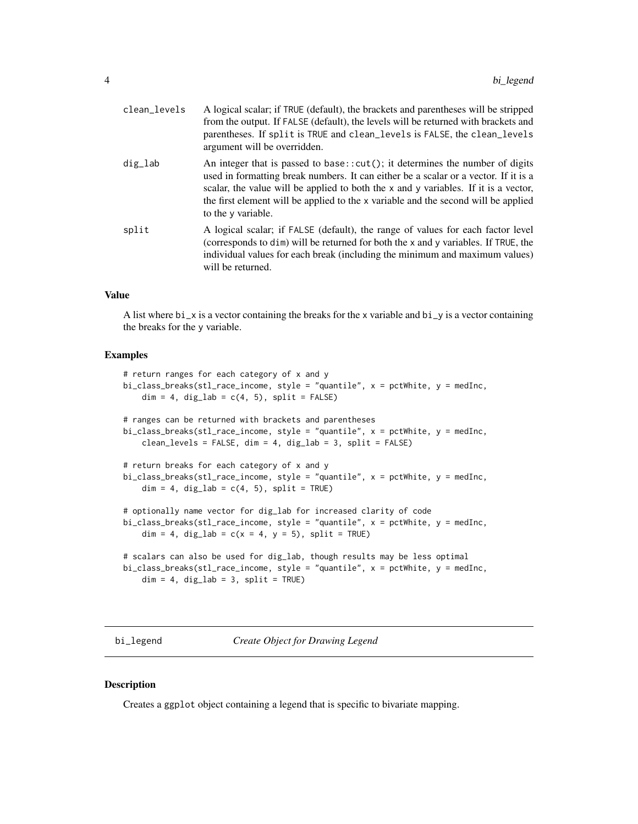<span id="page-3-0"></span>

| clean_levels | A logical scalar; if TRUE (default), the brackets and parentheses will be stripped<br>from the output. If FALSE (default), the levels will be returned with brackets and<br>parentheses. If split is TRUE and clean_levels is FALSE, the clean_levels<br>argument will be overridden.                                                                                      |
|--------------|----------------------------------------------------------------------------------------------------------------------------------------------------------------------------------------------------------------------------------------------------------------------------------------------------------------------------------------------------------------------------|
| dig_lab      | An integer that is passed to base:: $cut()$ ; it determines the number of digits<br>used in formatting break numbers. It can either be a scalar or a vector. If it is a<br>scalar, the value will be applied to both the x and y variables. If it is a vector,<br>the first element will be applied to the x variable and the second will be applied<br>to the y variable. |
| split        | A logical scalar; if FALSE (default), the range of values for each factor level<br>(corresponds to dim) will be returned for both the x and y variables. If TRUE, the<br>individual values for each break (including the minimum and maximum values)<br>will be returned.                                                                                                  |

#### Value

A list where bi\_x is a vector containing the breaks for the x variable and bi\_y is a vector containing the breaks for the y variable.

#### Examples

```
# return ranges for each category of x and y
bi_class_breaks(stl_race_income, style = "quantile", x = pctWhite, y = medInc,
   dim = 4, dig\_lab = c(4, 5), split = FALSE)# ranges can be returned with brackets and parentheses
bi_class_breaks(stl_race_income, style = "quantile", x = pctWhite, y = medInc,
    clean_levels = FALSE, dim = 4, dig_lab = 3, split = FALSE)
# return breaks for each category of x and y
bi_class_breaks(stl_race_income, style = "quantile", x = pctWhite, y = medInc,
    dim = 4, dig\_lab = c(4, 5), split = TRUE# optionally name vector for dig_lab for increased clarity of code
bi_class_breaks(stl_race_income, style = "quantile", x = pctWhite, y = medInc,
    dim = 4, dig\_lab = c(x = 4, y = 5), split = TRUE# scalars can also be used for dig_lab, though results may be less optimal
bi_class_breaks(stl_race_income, style = "quantile", x = pctWhite, y = medInc,
    dim = 4, dig\_lab = 3, split = TRUE)
```
bi\_legend *Create Object for Drawing Legend*

#### Description

Creates a ggplot object containing a legend that is specific to bivariate mapping.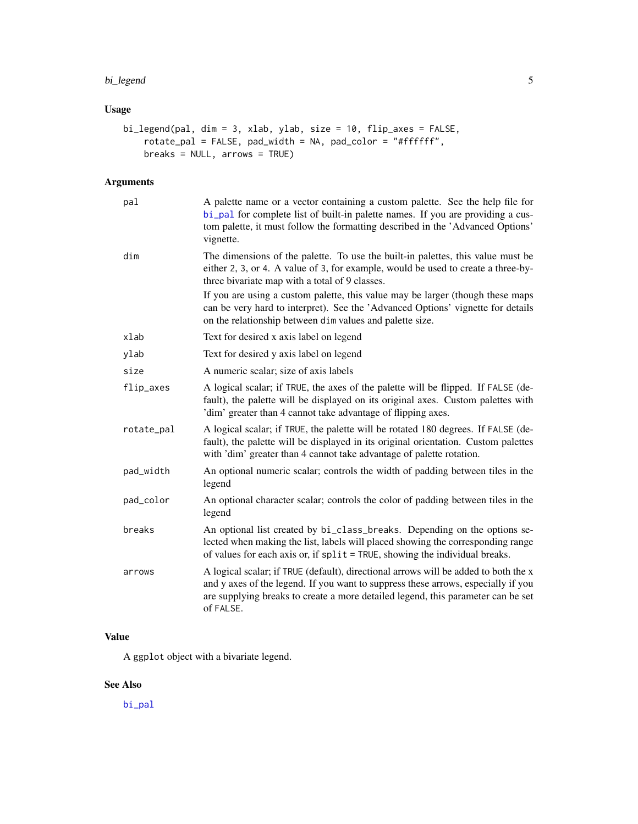#### <span id="page-4-0"></span>bi\_legend 5

### Usage

```
bi_legend(pal, dim = 3, xlab, ylab, size = 10, flip_axes = FALSE,
   rotate_pal = FALSE, pad_width = NA, pad_color = "#ffffff",
   breaks = NULL, arrows = TRUE)
```
#### Arguments

| pal        | A palette name or a vector containing a custom palette. See the help file for<br>bi_pal for complete list of built-in palette names. If you are providing a cus-<br>tom palette, it must follow the formatting described in the 'Advanced Options'<br>vignette.           |
|------------|---------------------------------------------------------------------------------------------------------------------------------------------------------------------------------------------------------------------------------------------------------------------------|
| dim        | The dimensions of the palette. To use the built-in palettes, this value must be<br>either 2, 3, or 4. A value of 3, for example, would be used to create a three-by-<br>three bivariate map with a total of 9 classes.                                                    |
|            | If you are using a custom palette, this value may be larger (though these maps<br>can be very hard to interpret). See the 'Advanced Options' vignette for details<br>on the relationship between dim values and palette size.                                             |
| xlab       | Text for desired x axis label on legend                                                                                                                                                                                                                                   |
| ylab       | Text for desired y axis label on legend                                                                                                                                                                                                                                   |
| size       | A numeric scalar; size of axis labels                                                                                                                                                                                                                                     |
| flip_axes  | A logical scalar; if TRUE, the axes of the palette will be flipped. If FALSE (de-<br>fault), the palette will be displayed on its original axes. Custom palettes with<br>'dim' greater than 4 cannot take advantage of flipping axes.                                     |
| rotate_pal | A logical scalar; if TRUE, the palette will be rotated 180 degrees. If FALSE (de-<br>fault), the palette will be displayed in its original orientation. Custom palettes<br>with 'dim' greater than 4 cannot take advantage of palette rotation.                           |
| pad_width  | An optional numeric scalar; controls the width of padding between tiles in the<br>legend                                                                                                                                                                                  |
| pad_color  | An optional character scalar; controls the color of padding between tiles in the<br>legend                                                                                                                                                                                |
| breaks     | An optional list created by bi_class_breaks. Depending on the options se-<br>lected when making the list, labels will placed showing the corresponding range<br>of values for each axis or, if split = TRUE, showing the individual breaks.                               |
| arrows     | A logical scalar; if TRUE (default), directional arrows will be added to both the x<br>and y axes of the legend. If you want to suppress these arrows, especially if you<br>are supplying breaks to create a more detailed legend, this parameter can be set<br>of FALSE. |

#### Value

A ggplot object with a bivariate legend.

#### See Also

[bi\\_pal](#page-5-1)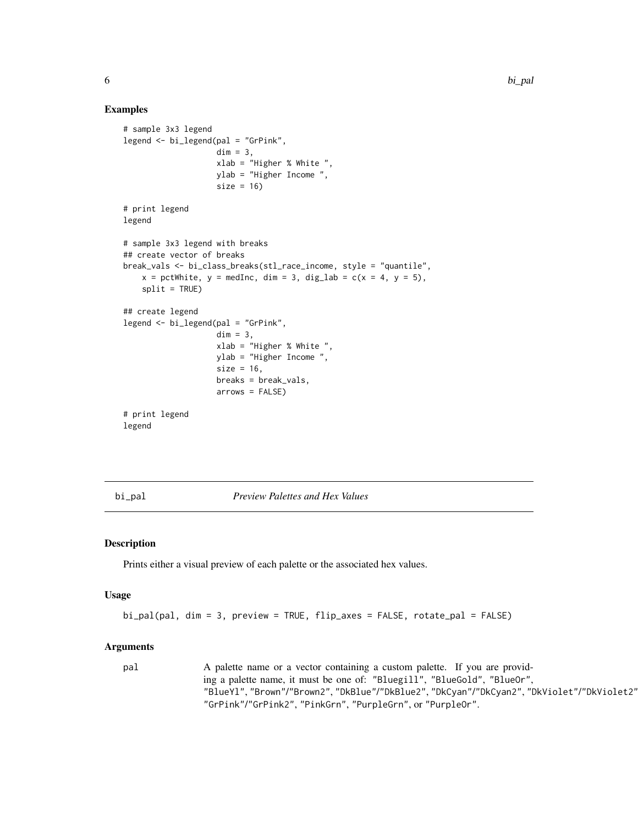#### Examples

```
# sample 3x3 legend
legend <- bi_legend(pal = "GrPink",
                    dim = 3,
                    xlab = "Higher % White ",
                    ylab = "Higher Income ",
                    size = 16# print legend
legend
# sample 3x3 legend with breaks
## create vector of breaks
break_vals <- bi_class_breaks(stl_race_income, style = "quantile",
    x = pctWhite, y = medInc, dim = 3, dig_lab = c(x = 4, y = 5),
    split = TRUE)
## create legend
legend <- bi_legend(pal = "GrPink",
                    dim = 3,
                    xlab = "Higher % White ",
                    ylab = "Higher Income ",
                    size = 16,
                    breaks = break_vals,
                    arrows = FALSE)
# print legend
legend
```
<span id="page-5-1"></span>bi\_pal *Preview Palettes and Hex Values*

#### Description

Prints either a visual preview of each palette or the associated hex values.

#### Usage

```
bi_pal(pal, dim = 3, preview = TRUE, flip_axes = FALSE, rotate_pal = FALSE)
```
#### Arguments

```
pal A palette name or a vector containing a custom palette. If you are provid-
                ing a palette name, it must be one of: "Bluegill", "BlueGold", "BlueOr",
                "BlueYl", "Brown"/"Brown2", "DkBlue"/"DkBlue2", "DkCyan"/"DkCyan2", "DkViolet"/"DkViolet2",
                "GrPink"/"GrPink2", "PinkGrn", "PurpleGrn", or "PurpleOr".
```
<span id="page-5-0"></span>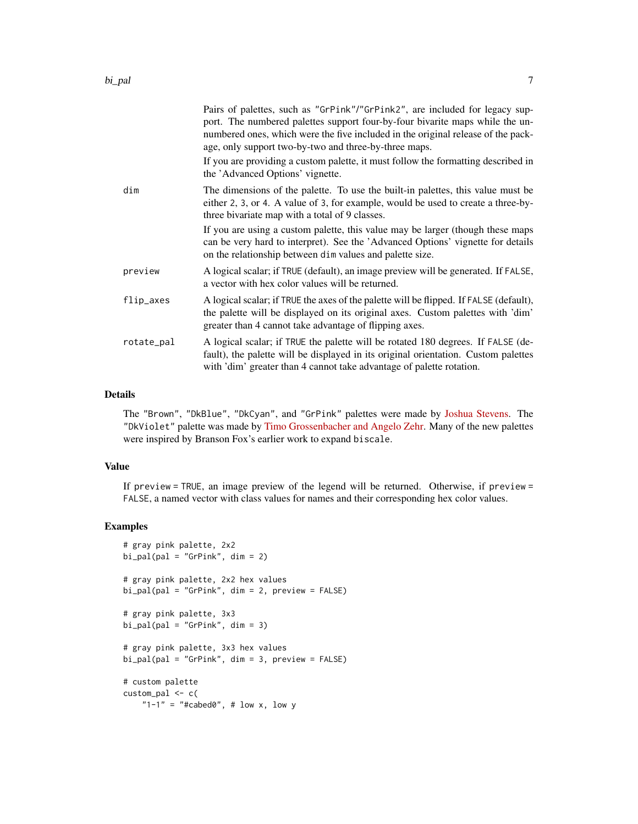|            | Pairs of palettes, such as "GrPink"/"GrPink2", are included for legacy sup-<br>port. The numbered palettes support four-by-four bivarite maps while the un-<br>numbered ones, which were the five included in the original release of the pack-<br>age, only support two-by-two and three-by-three maps. |
|------------|----------------------------------------------------------------------------------------------------------------------------------------------------------------------------------------------------------------------------------------------------------------------------------------------------------|
|            | If you are providing a custom palette, it must follow the formatting described in<br>the 'Advanced Options' vignette.                                                                                                                                                                                    |
| dim        | The dimensions of the palette. To use the built-in palettes, this value must be<br>either 2, 3, or 4. A value of 3, for example, would be used to create a three-by-<br>three bivariate map with a total of 9 classes.                                                                                   |
|            | If you are using a custom palette, this value may be larger (though these maps<br>can be very hard to interpret). See the 'Advanced Options' vignette for details<br>on the relationship between dim values and palette size.                                                                            |
| preview    | A logical scalar; if TRUE (default), an image preview will be generated. If FALSE,<br>a vector with hex color values will be returned.                                                                                                                                                                   |
| flip_axes  | A logical scalar; if TRUE the axes of the palette will be flipped. If FALSE (default),<br>the palette will be displayed on its original axes. Custom palettes with 'dim'<br>greater than 4 cannot take advantage of flipping axes.                                                                       |
| rotate_pal | A logical scalar; if TRUE the palette will be rotated 180 degrees. If FALSE (de-<br>fault), the palette will be displayed in its original orientation. Custom palettes<br>with 'dim' greater than 4 cannot take advantage of palette rotation.                                                           |
|            |                                                                                                                                                                                                                                                                                                          |

#### Details

The "Brown", "DkBlue", "DkCyan", and "GrPink" palettes were made by [Joshua Stevens.](https://www.joshuastevens.net/cartography/make-a-bivariate-choropleth-map/) The "DkViolet" palette was made by [Timo Grossenbacher and Angelo Zehr.](https://timogrossenbacher.ch/2019/04/bivariate-maps-with-ggplot2-and-sf/) Many of the new palettes were inspired by Branson Fox's earlier work to expand biscale.

#### Value

If preview = TRUE, an image preview of the legend will be returned. Otherwise, if preview = FALSE, a named vector with class values for names and their corresponding hex color values.

#### Examples

```
# gray pink palette, 2x2
bi\_pal(pal = "GrPink", dim = 2)# gray pink palette, 2x2 hex values
bi_pal(pal = "GrPink", dim = 2, preview = FALSE)
# gray pink palette, 3x3
bi\_pal(pal = "GrPink", dim = 3)# gray pink palette, 3x3 hex values
bi_pal(pal = "GrPink", dim = 3, preview = FALSE)
# custom palette
custom_pal <- c(
   "1-1" = "tcabed0", t low x, low y
```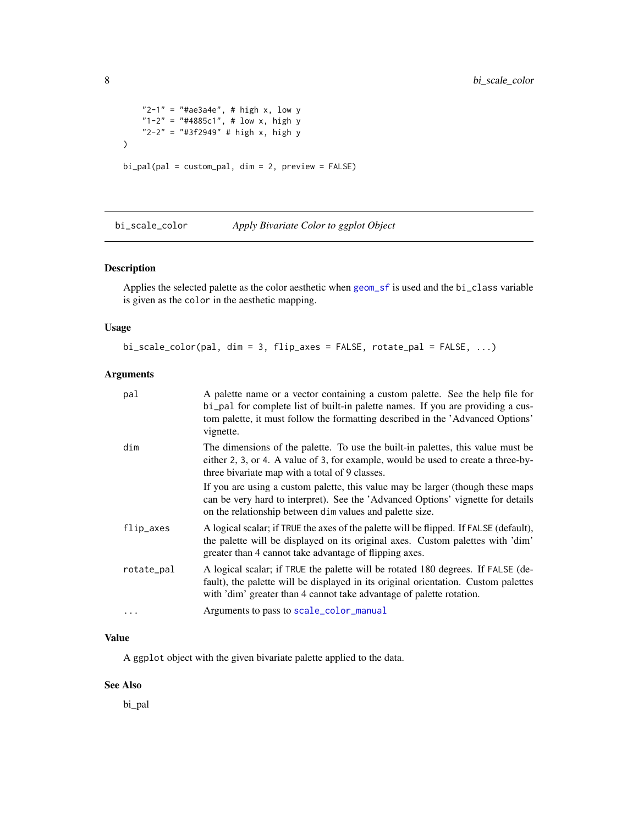```
"2-1" = "4ae3a4e", # high x, low y"1-2" = "#4885c1", # low x, high y"2-2" = "#3f2949" # high x, high y
\overline{\phantom{a}}bi_pal(pal = custom_pal, dim = 2, preview = FALSE)
```
bi\_scale\_color *Apply Bivariate Color to ggplot Object*

#### Description

Applies the selected palette as the color aesthetic when [geom\\_sf](#page-0-0) is used and the bi\_class variable is given as the color in the aesthetic mapping.

#### Usage

bi\_scale\_color(pal, dim = 3, flip\_axes = FALSE, rotate\_pal = FALSE, ...)

#### Arguments

| pal        | A palette name or a vector containing a custom palette. See the help file for<br>bi_pal for complete list of built-in palette names. If you are providing a cus-<br>tom palette, it must follow the formatting described in the 'Advanced Options'<br>vignette. |
|------------|-----------------------------------------------------------------------------------------------------------------------------------------------------------------------------------------------------------------------------------------------------------------|
| dim        | The dimensions of the palette. To use the built-in palettes, this value must be<br>either 2, 3, or 4. A value of 3, for example, would be used to create a three-by-<br>three bivariate map with a total of 9 classes.                                          |
|            | If you are using a custom palette, this value may be larger (though these maps<br>can be very hard to interpret). See the 'Advanced Options' vignette for details<br>on the relationship between dim values and palette size.                                   |
| flip_axes  | A logical scalar; if TRUE the axes of the palette will be flipped. If FALSE (default),<br>the palette will be displayed on its original axes. Custom palettes with 'dim'<br>greater than 4 cannot take advantage of flipping axes.                              |
| rotate_pal | A logical scalar; if TRUE the palette will be rotated 180 degrees. If FALSE (de-<br>fault), the palette will be displayed in its original orientation. Custom palettes<br>with 'dim' greater than 4 cannot take advantage of palette rotation.                  |
| $\ddotsc$  | Arguments to pass to scale_color_manual                                                                                                                                                                                                                         |

#### Value

A ggplot object with the given bivariate palette applied to the data.

#### See Also

bi\_pal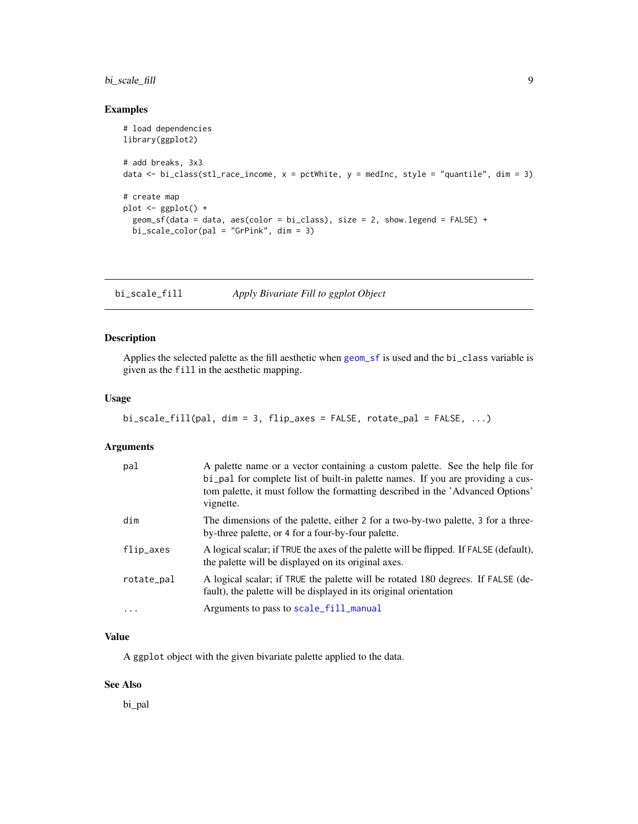#### <span id="page-8-0"></span>bi\_scale\_fill 9

#### Examples

```
# load dependencies
library(ggplot2)
# add breaks, 3x3
data <- bi_class(stl_race_income, x = pctWhite, y = medInc, style = "quantile", dim = 3)
# create map
plot <- ggplot() +
  geom_sf(data = data, aes(color = bi_class), size = 2, show.legend = FALSE) +
  bi_scale_color(pal = "GrPink", dim = 3)
```
bi\_scale\_fill *Apply Bivariate Fill to ggplot Object*

#### Description

Applies the selected palette as the fill aesthetic when [geom\\_sf](#page-0-0) is used and the bi\_class variable is given as the fill in the aesthetic mapping.

#### Usage

```
bi_scale_fill(pal, dim = 3, flip_axes = FALSE, rotate_pal = FALSE, ...)
```
#### Arguments

| pal        | A palette name or a vector containing a custom palette. See the help file for<br>bi_pal for complete list of built-in palette names. If you are providing a cus-<br>tom palette, it must follow the formatting described in the 'Advanced Options'<br>vignette. |
|------------|-----------------------------------------------------------------------------------------------------------------------------------------------------------------------------------------------------------------------------------------------------------------|
| dim        | The dimensions of the palette, either 2 for a two-by-two palette, 3 for a three-<br>by-three palette, or 4 for a four-by-four palette.                                                                                                                          |
| flip_axes  | A logical scalar; if TRUE the axes of the palette will be flipped. If FALSE (default),<br>the palette will be displayed on its original axes.                                                                                                                   |
| rotate_pal | A logical scalar; if TRUE the palette will be rotated 180 degrees. If FALSE (de-<br>fault), the palette will be displayed in its original orientation                                                                                                           |
| $\cdots$   | Arguments to pass to scale_fill_manual                                                                                                                                                                                                                          |

#### Value

A ggplot object with the given bivariate palette applied to the data.

#### See Also

bi\_pal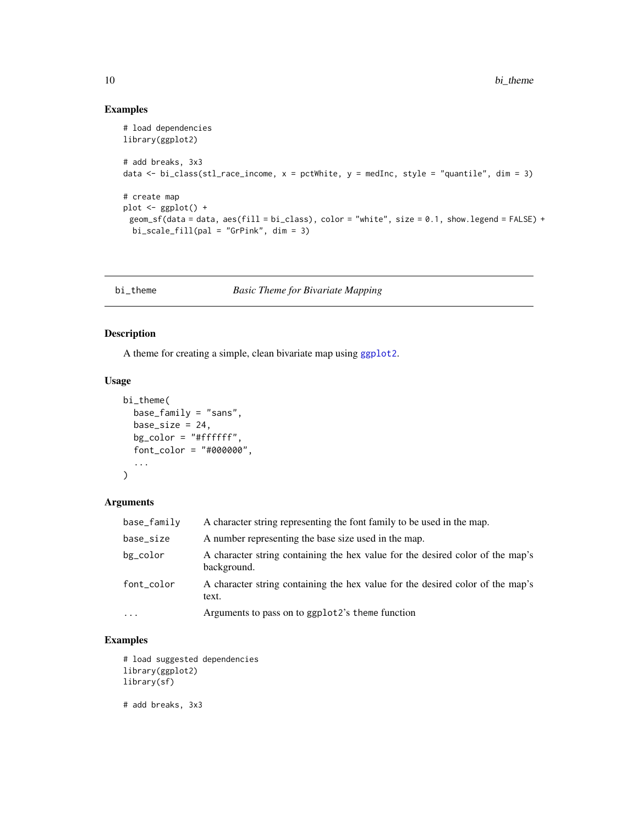#### Examples

```
# load dependencies
library(ggplot2)
# add breaks, 3x3
data <- bi_class(stl_race_income, x = pctWhite, y = medInc, style = "quantile", dim = 3)
# create map
plot \leftarrow ggplot() +
 geom_sf(data = data, aes(fill = bi_class), color = "white", size = 0.1, show.legend = FALSE) +
 bi_scale_fill(pal = "GrPink", dim = 3)
```
bi\_theme *Basic Theme for Bivariate Mapping*

#### Description

A theme for creating a simple, clean bivariate map using [ggplot2](#page-0-0).

#### Usage

```
bi_theme(
  base_family = "sans",
  base_size = 24,
  bg_color = "#ffffff",
  font_color = "#000000",
  ...
\mathcal{L}
```
#### Arguments

| base_family | A character string representing the font family to be used in the map.                        |
|-------------|-----------------------------------------------------------------------------------------------|
| base_size   | A number representing the base size used in the map.                                          |
| bg_color    | A character string containing the hex value for the desired color of the map's<br>background. |
| font_color  | A character string containing the hex value for the desired color of the map's<br>text.       |
| $\ddotsc$   | Arguments to pass on to ggplot2's theme function                                              |

#### Examples

```
# load suggested dependencies
library(ggplot2)
library(sf)
```
# add breaks, 3x3

<span id="page-9-0"></span>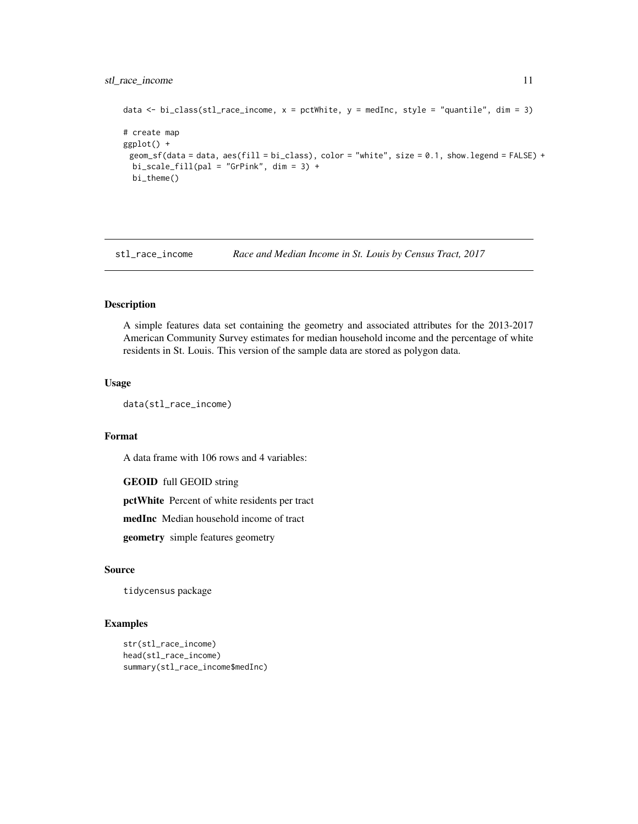#### <span id="page-10-0"></span>stl\_race\_income 11

```
data \le bi_class(stl_race_income, x = pctWhite, y = medInc, style = "quantile", dim = 3)
# create map
ggplot() +
 geom_sf(data = data, aes(fill = bi_class), color = "white", size = 0.1, show.legend = FALSE) +
 bi\_scale\_fill(pal = "GrPink", dim = 3) +bi_theme()
```
stl\_race\_income *Race and Median Income in St. Louis by Census Tract, 2017*

#### Description

A simple features data set containing the geometry and associated attributes for the 2013-2017 American Community Survey estimates for median household income and the percentage of white residents in St. Louis. This version of the sample data are stored as polygon data.

#### Usage

data(stl\_race\_income)

#### Format

A data frame with 106 rows and 4 variables:

GEOID full GEOID string

pctWhite Percent of white residents per tract

medInc Median household income of tract

geometry simple features geometry

#### Source

tidycensus package

#### Examples

```
str(stl_race_income)
head(stl_race_income)
summary(stl_race_income$medInc)
```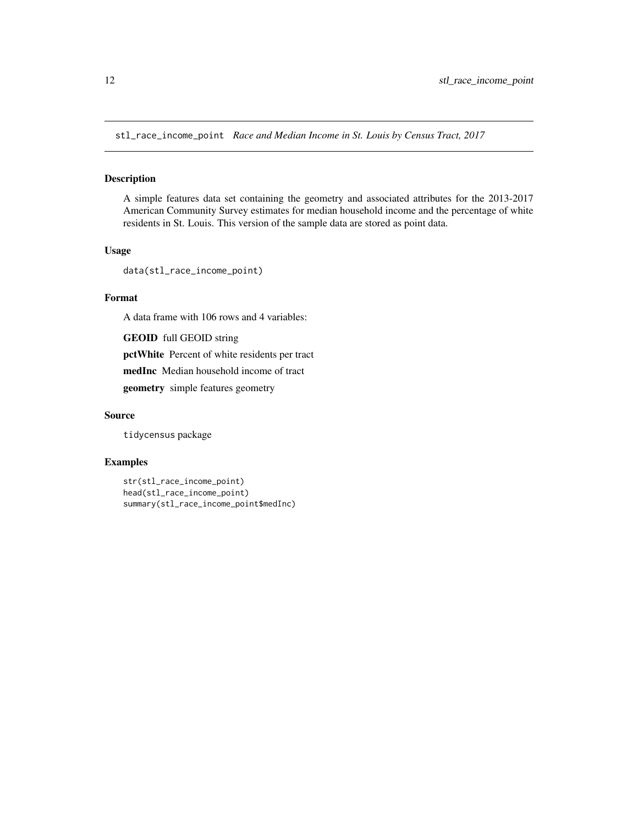<span id="page-11-0"></span>stl\_race\_income\_point *Race and Median Income in St. Louis by Census Tract, 2017*

#### Description

A simple features data set containing the geometry and associated attributes for the 2013-2017 American Community Survey estimates for median household income and the percentage of white residents in St. Louis. This version of the sample data are stored as point data.

#### Usage

```
data(stl_race_income_point)
```
### Format

A data frame with 106 rows and 4 variables:

GEOID full GEOID string pctWhite Percent of white residents per tract medInc Median household income of tract geometry simple features geometry

#### Source

tidycensus package

#### Examples

```
str(stl_race_income_point)
head(stl_race_income_point)
summary(stl_race_income_point$medInc)
```